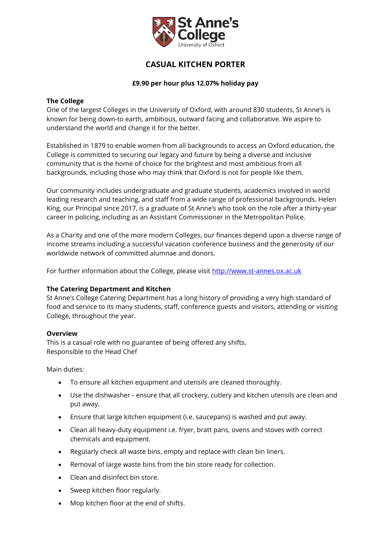

# **CASUAL KITCHEN PORTER**

# **£9.90 per hour plus 12.07% holiday pay**

## **The College**

One of the largest Colleges in the University of Oxford, with around 830 students, St Anne's is known for being down-to earth, ambitious, outward facing and collaborative. We aspire to understand the world and change it for the better.

Established in 1879 to enable women from all backgrounds to access an Oxford education, the College is committed to securing our legacy and future by being a diverse and inclusive community that is the home of choice for the brightest and most ambitious from all backgrounds, including those who may think that Oxford is not for people like them.

Our community includes undergraduate and graduate students, academics involved in world leading research and teaching, and staff from a wide range of professional backgrounds. Helen King, our Principal since 2017, is a graduate of St Anne's who took on the role after a thirty-year career in policing, including as an Assistant Commissioner in the Metropolitan Police.

As a Charity and one of the more modern Colleges, our finances depend upon a diverse range of income streams including a successful vacation conference business and the generosity of our worldwide network of committed alumnae and donors.

For further information about the College, please visit [http://www.st-annes.ox.ac.uk](http://www.st-annes.ox.ac.uk/)

#### **The Catering Department and Kitchen**

St Anne's College Catering Department has a long history of providing a very high standard of food and service to its many students, staff, conference guests and visitors, attending or visiting College, throughout the year.

#### **Overview**

This is a casual role with no guarantee of being offered any shifts. Responsible to the Head Chef

Main duties:

- To ensure all kitchen equipment and utensils are cleaned thoroughly.
- Use the dishwasher ensure that all crockery, cutlery and kitchen utensils are clean and put away.
- Ensure that large kitchen equipment (i.e. saucepans) is washed and put away.
- Clean all heavy-duty equipment i.e. fryer, bratt pans, ovens and stoves with correct chemicals and equipment.
- Regularly check all waste bins, empty and replace with clean bin liners.
- Removal of large waste bins from the bin store ready for collection.
- Clean and disinfect bin store.
- Sweep kitchen floor regularly.
- Mop kitchen floor at the end of shifts.